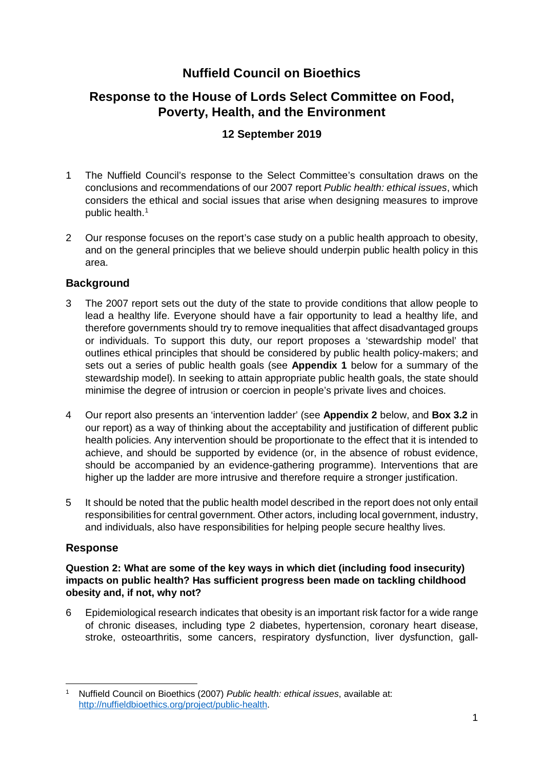# **Nuffield Council on Bioethics**

# **Response to the House of Lords Select Committee on Food, Poverty, Health, and the Environment**

# **12 September 2019**

- 1 The Nuffield Council's response to the Select Committee's consultation draws on the conclusions and recommendations of our 2007 report *Public health: ethical issues*, which considers the ethical and social issues that arise when designing measures to improve public health.[1](#page-0-0)
- 2 Our response focuses on the report's case study on a public health approach to obesity, and on the general principles that we believe should underpin public health policy in this area.

## **Background**

- 3 The 2007 report sets out the duty of the state to provide conditions that allow people to lead a healthy life. Everyone should have a fair opportunity to lead a healthy life, and therefore governments should try to remove inequalities that affect disadvantaged groups or individuals. To support this duty, our report proposes a 'stewardship model' that outlines ethical principles that should be considered by public health policy-makers; and sets out a series of public health goals (see **Appendix 1** below for a summary of the stewardship model). In seeking to attain appropriate public health goals, the state should minimise the degree of intrusion or coercion in people's private lives and choices.
- 4 Our report also presents an 'intervention ladder' (see **Appendix 2** below, and **Box 3.2** in our report) as a way of thinking about the acceptability and justification of different public health policies. Any intervention should be proportionate to the effect that it is intended to achieve, and should be supported by evidence (or, in the absence of robust evidence, should be accompanied by an evidence-gathering programme). Interventions that are higher up the ladder are more intrusive and therefore require a stronger justification.
- 5 It should be noted that the public health model described in the report does not only entail responsibilities for central government. Other actors, including local government, industry, and individuals, also have responsibilities for helping people secure healthy lives.

## **Response**

 $\overline{a}$ 

### **Question 2: What are some of the key ways in which diet (including food insecurity) impacts on public health? Has sufficient progress been made on tackling childhood obesity and, if not, why not?**

6 Epidemiological research indicates that obesity is an important risk factor for a wide range of chronic diseases, including type 2 diabetes, hypertension, coronary heart disease, stroke, osteoarthritis, some cancers, respiratory dysfunction, liver dysfunction, gall-

<span id="page-0-0"></span><sup>1</sup> Nuffield Council on Bioethics (2007) *Public health: ethical issues*, available at: [http://nuffieldbioethics.org/project/public-health.](http://nuffieldbioethics.org/project/public-health)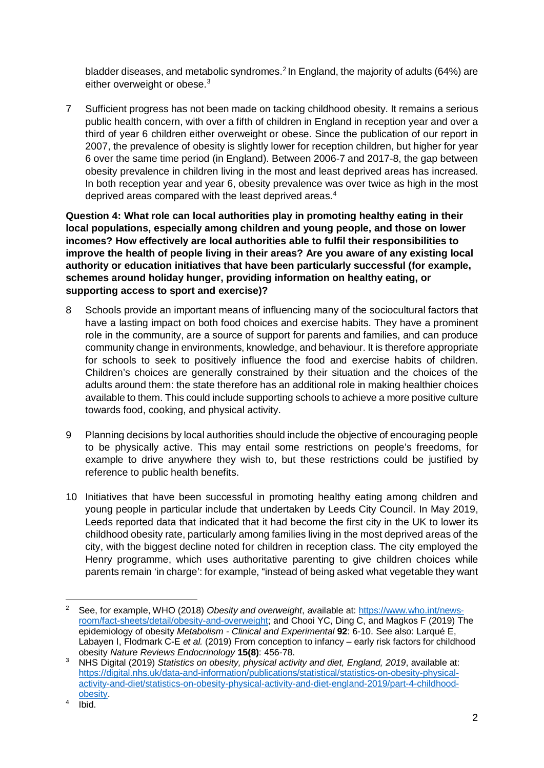bladder diseases, and metabolic syndromes.<sup>[2](#page-1-0)</sup> In England, the majority of adults (64%) are either overweight or obese.<sup>[3](#page-1-1)</sup>

7 Sufficient progress has not been made on tacking childhood obesity. It remains a serious public health concern, with over a fifth of children in England in reception year and over a third of year 6 children either overweight or obese. Since the publication of our report in 2007, the prevalence of obesity is slightly lower for reception children, but higher for year 6 over the same time period (in England). Between 2006-7 and 2017-8, the gap between obesity prevalence in children living in the most and least deprived areas has increased. In both reception year and year 6, obesity prevalence was over twice as high in the most deprived areas compared with the least deprived areas.<sup>[4](#page-1-2)</sup>

**Question 4: What role can local authorities play in promoting healthy eating in their local populations, especially among children and young people, and those on lower incomes? How effectively are local authorities able to fulfil their responsibilities to improve the health of people living in their areas? Are you aware of any existing local authority or education initiatives that have been particularly successful (for example, schemes around holiday hunger, providing information on healthy eating, or supporting access to sport and exercise)?** 

- 8 Schools provide an important means of influencing many of the sociocultural factors that have a lasting impact on both food choices and exercise habits. They have a prominent role in the community, are a source of support for parents and families, and can produce community change in environments, knowledge, and behaviour. It is therefore appropriate for schools to seek to positively influence the food and exercise habits of children. Children's choices are generally constrained by their situation and the choices of the adults around them: the state therefore has an additional role in making healthier choices available to them. This could include supporting schools to achieve a more positive culture towards food, cooking, and physical activity.
- 9 Planning decisions by local authorities should include the objective of encouraging people to be physically active. This may entail some restrictions on people's freedoms, for example to drive anywhere they wish to, but these restrictions could be justified by reference to public health benefits.
- 10 Initiatives that have been successful in promoting healthy eating among children and young people in particular include that undertaken by Leeds City Council. In May 2019, Leeds reported data that indicated that it had become the first city in the UK to lower its childhood obesity rate, particularly among families living in the most deprived areas of the city, with the biggest decline noted for children in reception class. The city employed the Henry programme, which uses authoritative parenting to give children choices while parents remain 'in charge': for example, "instead of being asked what vegetable they want

<span id="page-1-0"></span> $\overline{2}$ <sup>2</sup> See, for example, WHO (2018) *Obesity and overweight*, available at: [https://www.who.int/news](https://www.who.int/news-room/fact-sheets/detail/obesity-and-overweight)[room/fact-sheets/detail/obesity-and-overweight;](https://www.who.int/news-room/fact-sheets/detail/obesity-and-overweight) and Chooi YC, Ding C, and Magkos F (2019) The epidemiology of obesity *Metabolism - Clinical and Experimental* **92**: 6-10. See also: Larqué E, Labayen I, Flodmark C-E *et al.* (2019) From conception to infancy – early risk factors for childhood obesity *Nature Reviews Endocrinology* **15(8)**: 456-78.

<span id="page-1-1"></span><sup>3</sup> NHS Digital (2019) *Statistics on obesity, physical activity and diet, England, 2019*, available at: [https://digital.nhs.uk/data-and-information/publications/statistical/statistics-on-obesity-physical](https://digital.nhs.uk/data-and-information/publications/statistical/statistics-on-obesity-physical-activity-and-diet/statistics-on-obesity-physical-activity-and-diet-england-2019/part-4-childhood-obesity)[activity-and-diet/statistics-on-obesity-physical-activity-and-diet-england-2019/part-4-childhood](https://digital.nhs.uk/data-and-information/publications/statistical/statistics-on-obesity-physical-activity-and-diet/statistics-on-obesity-physical-activity-and-diet-england-2019/part-4-childhood-obesity)[obesity.](https://digital.nhs.uk/data-and-information/publications/statistical/statistics-on-obesity-physical-activity-and-diet/statistics-on-obesity-physical-activity-and-diet-england-2019/part-4-childhood-obesity)

<span id="page-1-2"></span> $4 \overline{I}$  Ibid.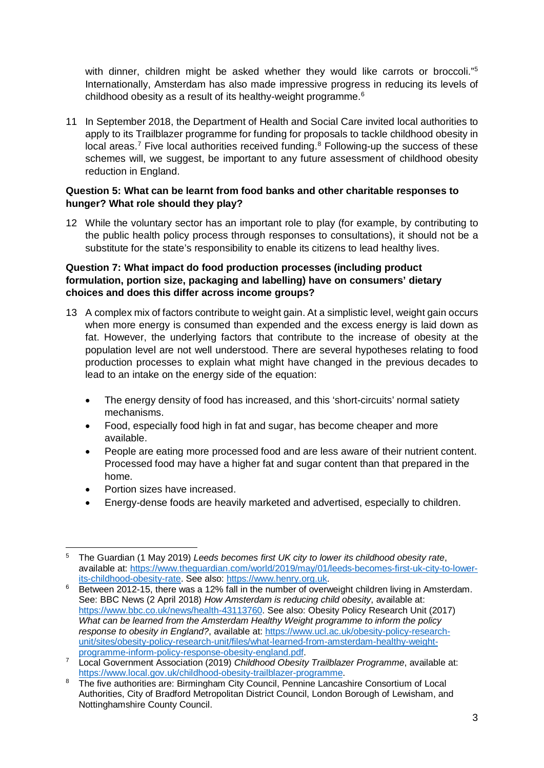with dinner, children might be asked whether they would like carrots or broccoli."<sup>5</sup> Internationally, Amsterdam has also made impressive progress in reducing its levels of childhood obesity as a result of its healthy-weight programme.<sup>[6](#page-2-1)</sup>

11 In September 2018, the Department of Health and Social Care invited local authorities to apply to its Trailblazer programme for funding for proposals to tackle childhood obesity in local areas.<sup>[7](#page-2-2)</sup> Five local authorities received funding.<sup>[8](#page-2-3)</sup> Following-up the success of these schemes will, we suggest, be important to any future assessment of childhood obesity reduction in England.

#### **Question 5: What can be learnt from food banks and other charitable responses to hunger? What role should they play?**

12 While the voluntary sector has an important role to play (for example, by contributing to the public health policy process through responses to consultations), it should not be a substitute for the state's responsibility to enable its citizens to lead healthy lives.

#### **Question 7: What impact do food production processes (including product formulation, portion size, packaging and labelling) have on consumers' dietary choices and does this differ across income groups?**

- 13 A complex mix of factors contribute to weight gain. At a simplistic level, weight gain occurs when more energy is consumed than expended and the excess energy is laid down as fat. However, the underlying factors that contribute to the increase of obesity at the population level are not well understood. There are several hypotheses relating to food production processes to explain what might have changed in the previous decades to lead to an intake on the energy side of the equation:
	- The energy density of food has increased, and this 'short-circuits' normal satiety mechanisms.
	- Food, especially food high in fat and sugar, has become cheaper and more available.
	- People are eating more processed food and are less aware of their nutrient content. Processed food may have a higher fat and sugar content than that prepared in the home.
	- Portion sizes have increased.
	- Energy-dense foods are heavily marketed and advertised, especially to children.

<span id="page-2-0"></span>**<sup>.</sup>** <sup>5</sup> The Guardian (1 May 2019) *Leeds becomes first UK city to lower its childhood obesity rate*, available at: [https://www.theguardian.com/world/2019/may/01/leeds-becomes-first-uk-city-to-lower-](https://www.theguardian.com/world/2019/may/01/leeds-becomes-first-uk-city-to-lower-its-childhood-obesity-rate)

<span id="page-2-1"></span>[its-childhood-obesity-rate.](https://www.theguardian.com/world/2019/may/01/leeds-becomes-first-uk-city-to-lower-its-childhood-obesity-rate) See also: [https://www.henry.org.uk.](https://www.henry.org.uk/) 6 Between 2012-15, there was a 12% fall in the number of overweight children living in Amsterdam. See: BBC News (2 April 2018) *How Amsterdam is reducing child obesity*, available at: [https://www.bbc.co.uk/news/health-43113760.](https://www.bbc.co.uk/news/health-43113760) See also: Obesity Policy Research Unit (2017) *What can be learned from the Amsterdam Healthy Weight programme to inform the policy response to obesity in England?*, available at: [https://www.ucl.ac.uk/obesity-policy-research](https://www.ucl.ac.uk/obesity-policy-research-unit/sites/obesity-policy-research-unit/files/what-learned-from-amsterdam-healthy-weight-programme-inform-policy-response-obesity-england.pdf)[unit/sites/obesity-policy-research-unit/files/what-learned-from-amsterdam-healthy-weight](https://www.ucl.ac.uk/obesity-policy-research-unit/sites/obesity-policy-research-unit/files/what-learned-from-amsterdam-healthy-weight-programme-inform-policy-response-obesity-england.pdf)[programme-inform-policy-response-obesity-england.pdf.](https://www.ucl.ac.uk/obesity-policy-research-unit/sites/obesity-policy-research-unit/files/what-learned-from-amsterdam-healthy-weight-programme-inform-policy-response-obesity-england.pdf)

<span id="page-2-2"></span><sup>7</sup> Local Government Association (2019) *Childhood Obesity Trailblazer Programme*, available at: [https://www.local.gov.uk/childhood-obesity-trailblazer-programme.](https://www.local.gov.uk/childhood-obesity-trailblazer-programme)

<span id="page-2-3"></span><sup>&</sup>lt;sup>8</sup> The five authorities are: Birmingham City Council, Pennine Lancashire Consortium of Local Authorities, City of Bradford Metropolitan District Council, London Borough of Lewisham, and Nottinghamshire County Council.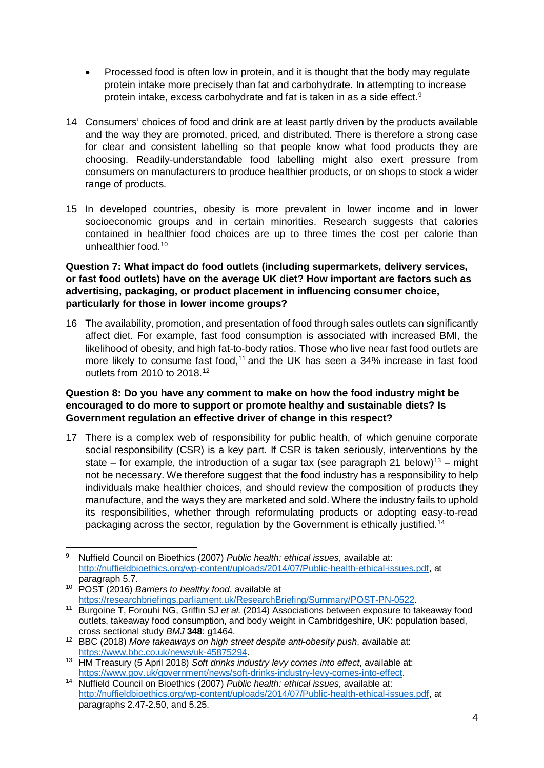- Processed food is often low in protein, and it is thought that the body may regulate protein intake more precisely than fat and carbohydrate. In attempting to increase protein intake, excess carbohydrate and fat is taken in as a side effect.[9](#page-3-0)
- 14 Consumers' choices of food and drink are at least partly driven by the products available and the way they are promoted, priced, and distributed. There is therefore a strong case for clear and consistent labelling so that people know what food products they are choosing. Readily-understandable food labelling might also exert pressure from consumers on manufacturers to produce healthier products, or on shops to stock a wider range of products.
- 15 In developed countries, obesity is more prevalent in lower income and in lower socioeconomic groups and in certain minorities. Research suggests that calories contained in healthier food choices are up to three times the cost per calorie than unhealthier food.[10](#page-3-1)

#### **Question 7: What impact do food outlets (including supermarkets, delivery services, or fast food outlets) have on the average UK diet? How important are factors such as advertising, packaging, or product placement in influencing consumer choice, particularly for those in lower income groups?**

16 The availability, promotion, and presentation of food through sales outlets can significantly affect diet. For example, fast food consumption is associated with increased BMI, the likelihood of obesity, and high fat-to-body ratios. Those who live near fast food outlets are more likely to consume fast food,<sup>[11](#page-3-2)</sup> and the UK has seen a 34% increase in fast food outlets from 2010 to 2018.[12](#page-3-3)

#### **Question 8: Do you have any comment to make on how the food industry might be encouraged to do more to support or promote healthy and sustainable diets? Is Government regulation an effective driver of change in this respect?**

17 There is a complex web of responsibility for public health, of which genuine corporate social responsibility (CSR) is a key part. If CSR is taken seriously, interventions by the state – for example, the introduction of a sugar tax (see paragraph [21](#page-4-0) below)<sup>[13](#page-3-4)</sup> – might not be necessary. We therefore suggest that the food industry has a responsibility to help individuals make healthier choices, and should review the composition of products they manufacture, and the ways they are marketed and sold. Where the industry fails to uphold its responsibilities, whether through reformulating products or adopting easy-to-read packaging across the sector, regulation by the Government is ethically justified.<sup>[14](#page-3-5)</sup>

<span id="page-3-0"></span>**<sup>.</sup>** <sup>9</sup> Nuffield Council on Bioethics (2007) *Public health: ethical issues*, available at: [http://nuffieldbioethics.org/wp-content/uploads/2014/07/Public-health-ethical-issues.pdf,](http://nuffieldbioethics.org/wp-content/uploads/2014/07/Public-health-ethical-issues.pdf) at paragraph 5.7.

<sup>10</sup> POST (2016) *Barriers to healthy food*, available at

<span id="page-3-2"></span><span id="page-3-1"></span>[https://researchbriefings.parliament.uk/ResearchBriefing/Summary/POST-PN-0522.](https://researchbriefings.parliament.uk/ResearchBriefing/Summary/POST-PN-0522) 11 Burgoine T, Forouhi NG, Griffin SJ *et al.* (2014) Associations between exposure to takeaway food outlets, takeaway food consumption, and body weight in Cambridgeshire, UK: population based, cross sectional study *BMJ* **348**: g1464.

<span id="page-3-3"></span><sup>12</sup> BBC (2018) *More takeaways on high street despite anti-obesity push*, available at:

<span id="page-3-4"></span><sup>&</sup>lt;sup>13</sup> HM Treasury (5 April 2018) Soft drinks industry levy comes into effect, available at: [https://www.gov.uk/government/news/soft-drinks-industry-levy-comes-into-effect.](https://www.gov.uk/government/news/soft-drinks-industry-levy-comes-into-effect)

<span id="page-3-5"></span><sup>14</sup> Nuffield Council on Bioethics (2007) *Public health: ethical issues*, available at: [http://nuffieldbioethics.org/wp-content/uploads/2014/07/Public-health-ethical-issues.pdf,](http://nuffieldbioethics.org/wp-content/uploads/2014/07/Public-health-ethical-issues.pdf) at paragraphs 2.47-2.50, and 5.25.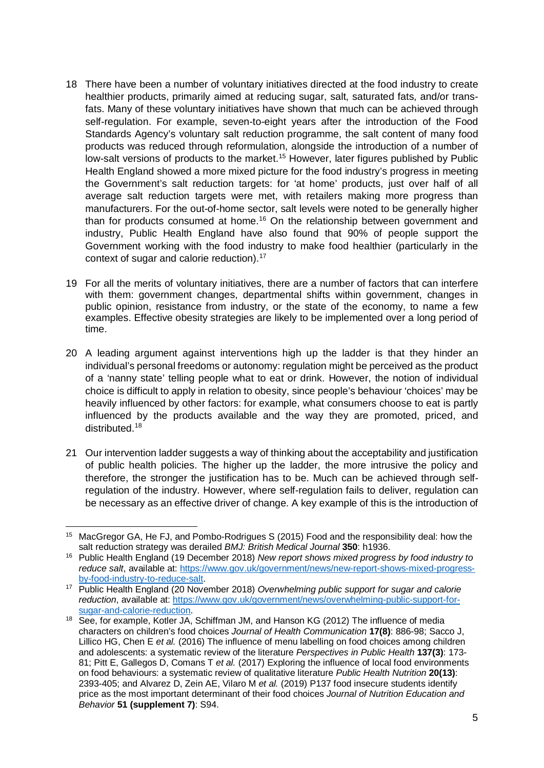- 18 There have been a number of voluntary initiatives directed at the food industry to create healthier products, primarily aimed at reducing sugar, salt, saturated fats, and/or transfats. Many of these voluntary initiatives have shown that much can be achieved through self-regulation. For example, seven-to-eight years after the introduction of the Food Standards Agency's voluntary salt reduction programme, the salt content of many food products was reduced through reformulation, alongside the introduction of a number of low-salt versions of products to the market.<sup>[15](#page-4-1)</sup> However, later figures published by Public Health England showed a more mixed picture for the food industry's progress in meeting the Government's salt reduction targets: for 'at home' products, just over half of all average salt reduction targets were met, with retailers making more progress than manufacturers. For the out-of-home sector, salt levels were noted to be generally higher than for products consumed at home.<sup>[16](#page-4-2)</sup> On the relationship between government and industry, Public Health England have also found that 90% of people support the Government working with the food industry to make food healthier (particularly in the context of sugar and calorie reduction).<sup>[17](#page-4-3)</sup>
- 19 For all the merits of voluntary initiatives, there are a number of factors that can interfere with them: government changes, departmental shifts within government, changes in public opinion, resistance from industry, or the state of the economy, to name a few examples. Effective obesity strategies are likely to be implemented over a long period of time.
- 20 A leading argument against interventions high up the ladder is that they hinder an individual's personal freedoms or autonomy: regulation might be perceived as the product of a 'nanny state' telling people what to eat or drink. However, the notion of individual choice is difficult to apply in relation to obesity, since people's behaviour 'choices' may be heavily influenced by other factors: for example, what consumers choose to eat is partly influenced by the products available and the way they are promoted, priced, and distributed.[18](#page-4-4)
- <span id="page-4-0"></span>21 Our intervention ladder suggests a way of thinking about the acceptability and justification of public health policies. The higher up the ladder, the more intrusive the policy and therefore, the stronger the justification has to be. Much can be achieved through selfregulation of the industry. However, where self-regulation fails to deliver, regulation can be necessary as an effective driver of change. A key example of this is the introduction of

<span id="page-4-1"></span>**<sup>.</sup>** <sup>15</sup> MacGregor GA, He FJ, and Pombo-Rodrigues S (2015) Food and the responsibility deal: how the salt reduction strategy was derailed *BMJ: British Medical Journal* **350**: h1936.

<span id="page-4-2"></span><sup>16</sup> Public Health England (19 December 2018) *New report shows mixed progress by food industry to reduce salt*, available at: [https://www.gov.uk/government/news/new-report-shows-mixed-progress](https://www.gov.uk/government/news/new-report-shows-mixed-progress-by-food-industry-to-reduce-salt)[by-food-industry-to-reduce-salt.](https://www.gov.uk/government/news/new-report-shows-mixed-progress-by-food-industry-to-reduce-salt)

<span id="page-4-3"></span><sup>17</sup> Public Health England (20 November 2018) *Overwhelming public support for sugar and calorie reduction*, available at: [https://www.gov.uk/government/news/overwhelming-public-support-for](https://www.gov.uk/government/news/overwhelming-public-support-for-sugar-and-calorie-reduction)[sugar-and-calorie-reduction.](https://www.gov.uk/government/news/overwhelming-public-support-for-sugar-and-calorie-reduction)

<span id="page-4-4"></span><sup>&</sup>lt;sup>18</sup> See, for example, Kotler JA, Schiffman JM, and Hanson KG (2012) The influence of media characters on children's food choices *Journal of Health Communication* **17(8)**: 886-98; Sacco J, Lillico HG, Chen E *et al.* (2016) The influence of menu labelling on food choices among children and adolescents: a systematic review of the literature *Perspectives in Public Health* **137(3)**: 173- 81; Pitt E, Gallegos D, Comans T *et al.* (2017) Exploring the influence of local food environments on food behaviours: a systematic review of qualitative literature *Public Health Nutrition* **20(13)**: 2393-405; and Alvarez D, Zein AE, Vilaro M *et al.* (2019) P137 food insecure students identify price as the most important determinant of their food choices *Journal of Nutrition Education and Behavior* **51 (supplement 7)**: S94.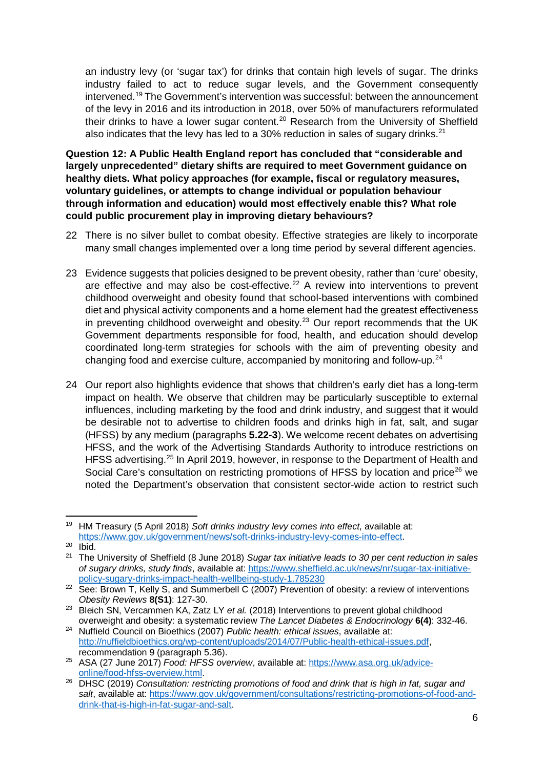an industry levy (or 'sugar tax') for drinks that contain high levels of sugar. The drinks industry failed to act to reduce sugar levels, and the Government consequently intervened[.19](#page-5-0) The Government's intervention was successful: between the announcement of the levy in 2016 and its introduction in 2018, over 50% of manufacturers reformulated their drinks to have a lower sugar content.<sup>[20](#page-5-1)</sup> Research from the University of Sheffield also indicates that the levy has led to a  $30\%$  reduction in sales of sugary drinks.<sup>[21](#page-5-2)</sup>

**Question 12: A Public Health England report has concluded that "considerable and largely unprecedented" dietary shifts are required to meet Government guidance on healthy diets. What policy approaches (for example, fiscal or regulatory measures, voluntary guidelines, or attempts to change individual or population behaviour through information and education) would most effectively enable this? What role could public procurement play in improving dietary behaviours?**

- 22 There is no silver bullet to combat obesity. Effective strategies are likely to incorporate many small changes implemented over a long time period by several different agencies.
- 23 Evidence suggests that policies designed to be prevent obesity, rather than 'cure' obesity, are effective and may also be cost-effective. $22$  A review into interventions to prevent childhood overweight and obesity found that school-based interventions with combined diet and physical activity components and a home element had the greatest effectiveness in preventing childhood overweight and obesity.<sup>[23](#page-5-4)</sup> Our report recommends that the UK Government departments responsible for food, health, and education should develop coordinated long-term strategies for schools with the aim of preventing obesity and changing food and exercise culture, accompanied by monitoring and follow-up.[24](#page-5-5)
- 24 Our report also highlights evidence that shows that children's early diet has a long-term impact on health. We observe that children may be particularly susceptible to external influences, including marketing by the food and drink industry, and suggest that it would be desirable not to advertise to children foods and drinks high in fat, salt, and sugar (HFSS) by any medium (paragraphs **5.22-3**). We welcome recent debates on advertising HFSS, and the work of the Advertising Standards Authority to introduce restrictions on HFSS advertising.<sup>25</sup> In April 2019, however, in response to the Department of Health and Social Care's consultation on restricting promotions of HFSS by location and price<sup>[26](#page-5-7)</sup> we noted the Department's observation that consistent sector-wide action to restrict such

<span id="page-5-0"></span><sup>1</sup> <sup>19</sup> HM Treasury (5 April 2018) *Soft drinks industry levy comes into effect*, available at: [https://www.gov.uk/government/news/soft-drinks-industry-levy-comes-into-effect.](https://www.gov.uk/government/news/soft-drinks-industry-levy-comes-into-effect)

<span id="page-5-1"></span> $20$   $\overline{I}$  lbid.

<span id="page-5-2"></span><sup>21</sup> The University of Sheffield (8 June 2018) *Sugar tax initiative leads to 30 per cent reduction in sales of sugary drinks, study finds*, available at: [https://www.sheffield.ac.uk/news/nr/sugar-tax-initiative](https://www.sheffield.ac.uk/news/nr/sugar-tax-initiative-policy-sugary-drinks-impact-health-wellbeing-study-1.785230)[policy-sugary-drinks-impact-health-wellbeing-study-1.785230](https://www.sheffield.ac.uk/news/nr/sugar-tax-initiative-policy-sugary-drinks-impact-health-wellbeing-study-1.785230)

<span id="page-5-3"></span><sup>&</sup>lt;sup>22</sup> See: Brown T, Kelly S, and Summerbell C (2007) Prevention of obesity: a review of interventions *Obesity Reviews* **8(S1)**: 127-30.

<span id="page-5-4"></span><sup>&</sup>lt;sup>23</sup> Bleich SN, Vercammen KA, Zatz LY et al. (2018) Interventions to prevent global childhood overweight and obesity: a systematic review *The Lancet Diabetes & Endocrinology* **6(4)**: 332-46.

<span id="page-5-5"></span><sup>24</sup> Nuffield Council on Bioethics (2007) *Public health: ethical issues*, available at: [http://nuffieldbioethics.org/wp-content/uploads/2014/07/Public-health-ethical-issues.pdf,](http://nuffieldbioethics.org/wp-content/uploads/2014/07/Public-health-ethical-issues.pdf) recommendation 9 (paragraph 5.36).

<span id="page-5-6"></span><sup>25</sup> ASA (27 June 2017) *Food: HFSS overview*, available at: [https://www.asa.org.uk/advice](https://www.asa.org.uk/advice-online/food-hfss-overview.html)[online/food-hfss-overview.html.](https://www.asa.org.uk/advice-online/food-hfss-overview.html)

<span id="page-5-7"></span><sup>26</sup> DHSC (2019) *Consultation: restricting promotions of food and drink that is high in fat, sugar and salt*, available at: [https://www.gov.uk/government/consultations/restricting-promotions-of-food-and](https://www.gov.uk/government/consultations/restricting-promotions-of-food-and-drink-that-is-high-in-fat-sugar-and-salt)[drink-that-is-high-in-fat-sugar-and-salt.](https://www.gov.uk/government/consultations/restricting-promotions-of-food-and-drink-that-is-high-in-fat-sugar-and-salt)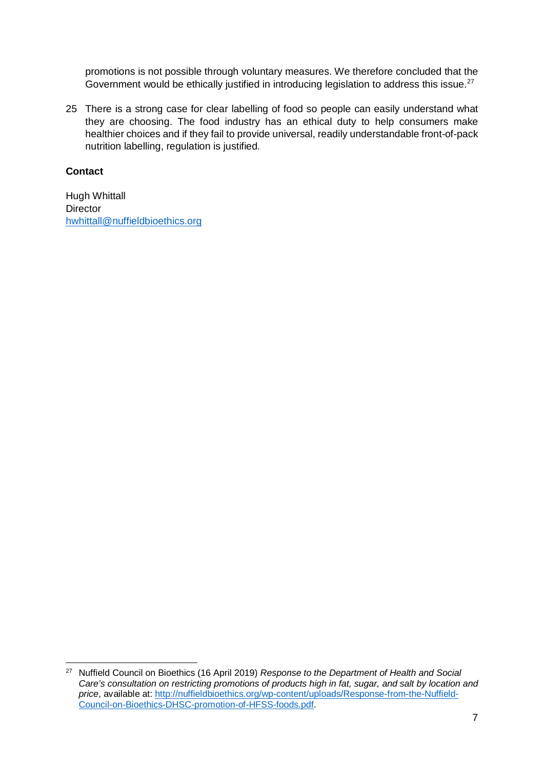promotions is not possible through voluntary measures. We therefore concluded that the Government would be ethically justified in introducing legislation to address this issue.<sup>27</sup>

25 There is a strong case for clear labelling of food so people can easily understand what they are choosing. The food industry has an ethical duty to help consumers make healthier choices and if they fail to provide universal, readily understandable front-of-pack nutrition labelling, regulation is justified.

#### **Contact**

**.** 

Hugh Whittall **Director** [hwhittall@nuffieldbioethics.org](mailto:hwhittall@nuffieldbioethics.org)

<span id="page-6-0"></span><sup>27</sup> Nuffield Council on Bioethics (16 April 2019) *Response to the Department of Health and Social Care's consultation on restricting promotions of products high in fat, sugar, and salt by location and price*, available at: [http://nuffieldbioethics.org/wp-content/uploads/Response-from-the-Nuffield-](http://nuffieldbioethics.org/wp-content/uploads/Response-from-the-Nuffield-Council-on-Bioethics-DHSC-promotion-of-HFSS-foods.pdf)[Council-on-Bioethics-DHSC-promotion-of-HFSS-foods.pdf.](http://nuffieldbioethics.org/wp-content/uploads/Response-from-the-Nuffield-Council-on-Bioethics-DHSC-promotion-of-HFSS-foods.pdf)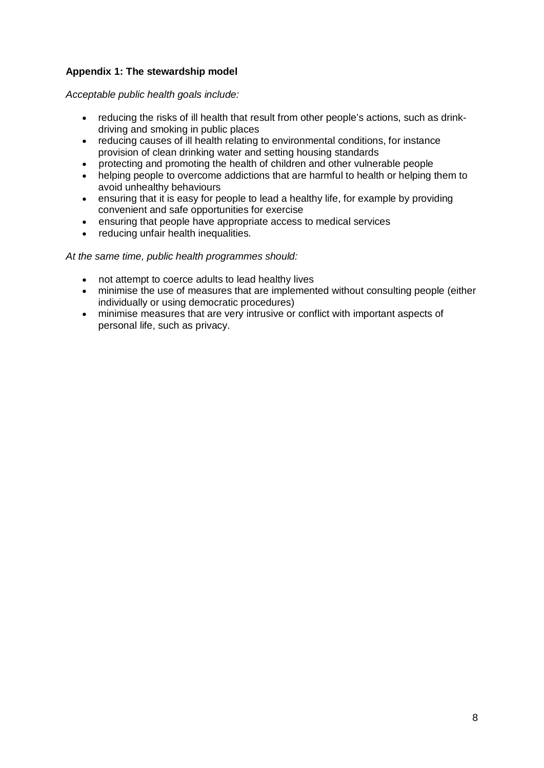### **Appendix 1: The stewardship model**

*Acceptable public health goals include:*

- reducing the risks of ill health that result from other people's actions, such as drinkdriving and smoking in public places
- reducing causes of ill health relating to environmental conditions, for instance provision of clean drinking water and setting housing standards
- protecting and promoting the health of children and other vulnerable people
- helping people to overcome addictions that are harmful to health or helping them to avoid unhealthy behaviours
- ensuring that it is easy for people to lead a healthy life, for example by providing convenient and safe opportunities for exercise
- ensuring that people have appropriate access to medical services
- reducing unfair health inequalities.

*At the same time, public health programmes should:*

- not attempt to coerce adults to lead healthy lives
- minimise the use of measures that are implemented without consulting people (either individually or using democratic procedures)
- minimise measures that are very intrusive or conflict with important aspects of personal life, such as privacy.